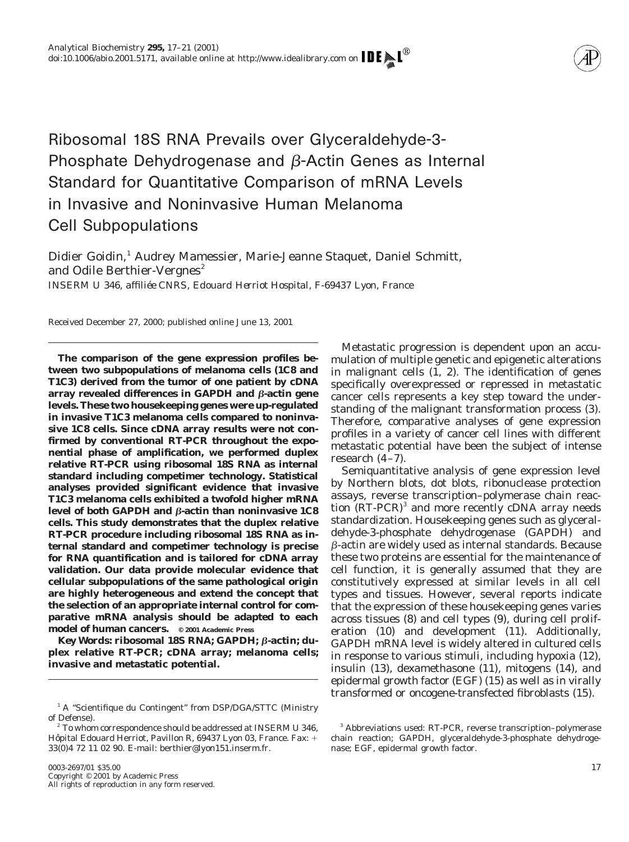

Ribosomal 18S RNA Prevails over Glyceraldehyde-3- Phosphate Dehydrogenase and  $\beta$ -Actin Genes as Internal Standard for Quantitative Comparison of mRNA Levels in Invasive and Noninvasive Human Melanoma Cell Subpopulations

Didier Goidin,<sup>1</sup> Audrey Mamessier, Marie-Jeanne Staquet, Daniel Schmitt, and Odile Berthier-Vergnes<sup>2</sup> *INSERM U 346, affilie´e CNRS, Edouard Herriot Hospital, F-69437 Lyon, France*

Received December 27, 2000; published online June 13, 2001

**The comparison of the gene expression profiles between two subpopulations of melanoma cells (1C8 and T1C3) derived from the tumor of one patient by cDNA array revealed differences in GAPDH and β-actin gene levels. These two housekeeping genes were up-regulated in invasive T1C3 melanoma cells compared to noninvasive 1C8 cells. Since cDNA array results were not confirmed by conventional RT-PCR throughout the exponential phase of amplification, we performed duplex relative RT-PCR using ribosomal 18S RNA as internal standard including competimer technology. Statistical analyses provided significant evidence that invasive T1C3 melanoma cells exhibited a twofold higher mRNA** level of both GAPDH and *β*-actin than noninvasive 1C8 **cells. This study demonstrates that the duplex relative RT-PCR procedure including ribosomal 18S RNA as internal standard and competimer technology is precise for RNA quantification and is tailored for cDNA array validation. Our data provide molecular evidence that cellular subpopulations of the same pathological origin are highly heterogeneous and extend the concept that the selection of an appropriate internal control for comparative mRNA analysis should be adapted to each model of human cancers. © 2001 Academic Press**

Key Words: ribosomal 18S RNA; GAPDH; β-actin; du**plex relative RT-PCR; cDNA array; melanoma cells; invasive and metastatic potential.**

Metastatic progression is dependent upon an accumulation of multiple genetic and epigenetic alterations in malignant cells (1, 2). The identification of genes specifically overexpressed or repressed in metastatic cancer cells represents a key step toward the understanding of the malignant transformation process (3). Therefore, comparative analyses of gene expression profiles in a variety of cancer cell lines with different metastatic potential have been the subject of intense research (4–7).

Semiquantitative analysis of gene expression level by Northern blots, dot blots, ribonuclease protection assays, reverse transcription–polymerase chain reaction (RT-PCR)<sup>3</sup> and more recently cDNA array needs standardization. Housekeeping genes such as glyceraldehyde-3-phosphate dehydrogenase (GAPDH) and b-actin are widely used as internal standards. Because these two proteins are essential for the maintenance of cell function, it is generally assumed that they are constitutively expressed at similar levels in all cell types and tissues. However, several reports indicate that the expression of these housekeeping genes varies across tissues (8) and cell types (9), during cell proliferation (10) and development (11). Additionally, GAPDH mRNA level is widely altered in cultured cells in response to various stimuli, including hypoxia (12), insulin (13), dexamethasone (11), mitogens (14), and epidermal growth factor (EGF) (15) as well as in virally transformed or oncogene-transfected fibroblasts (15).

<sup>&</sup>lt;sup>1</sup> A "Scientifique du Contingent" from DSP/DGA/STTC (Ministry of Defense).

 $2^2$  To whom correspondence should be addressed at INSERM U 346, Hôpital Edouard Herriot, Pavillon R, 69437 Lyon 03, France. Fax: + 33(0)4 72 11 02 90. E-mail: berthier@lyon151.inserm.fr.

<sup>3</sup> Abbreviations used: RT-PCR, reverse transcription–polymerase chain reaction; GAPDH, glyceraldehyde-3-phosphate dehydrogenase; EGF, epidermal growth factor.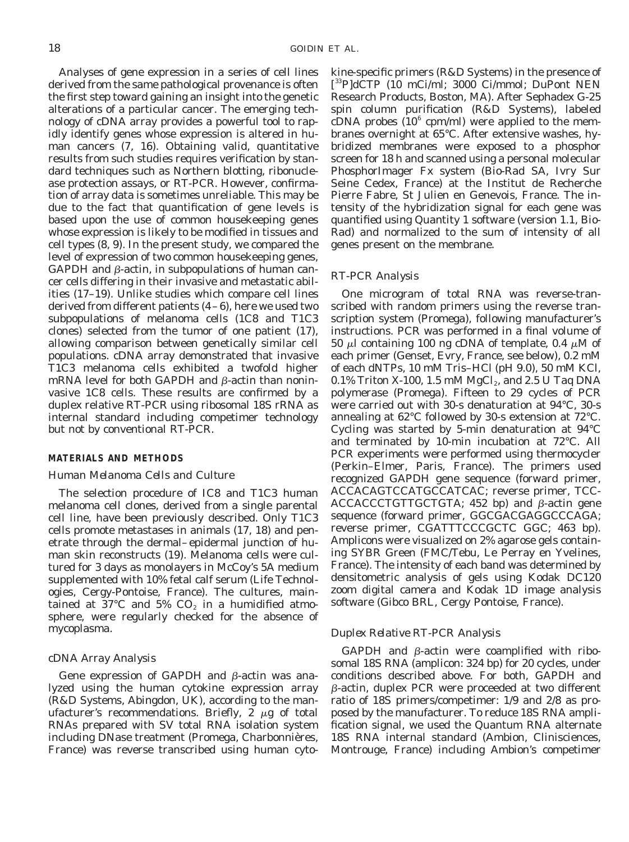Analyses of gene expression in a series of cell lines derived from the same pathological provenance is often the first step toward gaining an insight into the genetic alterations of a particular cancer. The emerging technology of cDNA array provides a powerful tool to rapidly identify genes whose expression is altered in human cancers (7, 16). Obtaining valid, quantitative results from such studies requires verification by standard techniques such as Northern blotting, ribonuclease protection assays, or RT-PCR. However, confirmation of array data is sometimes unreliable. This may be due to the fact that quantification of gene levels is based upon the use of common housekeeping genes whose expression is likely to be modified in tissues and cell types (8, 9). In the present study, we compared the level of expression of two common housekeeping genes,  $GAPDH$  and  $\beta$ -actin, in subpopulations of human cancer cells differing in their invasive and metastatic abilities (17–19). Unlike studies which compare cell lines derived from different patients (4–6), here we used two subpopulations of melanoma cells (1C8 and T1C3 clones) selected from the tumor of one patient (17), allowing comparison between genetically similar cell populations. cDNA array demonstrated that invasive T1C3 melanoma cells exhibited a twofold higher mRNA level for both GAPDH and  $\beta$ -actin than noninvasive 1C8 cells. These results are confirmed by a duplex relative RT-PCR using ribosomal 18S rRNA as internal standard including competimer technology but not by conventional RT-PCR.

# **MATERIALS AND METHODS**

#### *Human Melanoma Cells and Culture*

The selection procedure of IC8 and T1C3 human melanoma cell clones, derived from a single parental cell line, have been previously described. Only T1C3 cells promote metastases in animals (17, 18) and penetrate through the dermal–epidermal junction of human skin reconstructs (19). Melanoma cells were cultured for 3 days as monolayers in McCoy's 5A medium supplemented with 10% fetal calf serum (Life Technologies, Cergy-Pontoise, France). The cultures, maintained at 37°C and 5%  $CO<sub>2</sub>$  in a humidified atmosphere, were regularly checked for the absence of mycoplasma.

# *cDNA Array Analysis*

Gene expression of GAPDH and  $\beta$ -actin was analyzed using the human cytokine expression array (R&D Systems, Abingdon, UK), according to the manufacturer's recommendations. Briefly,  $2 \mu g$  of total RNAs prepared with SV total RNA isolation system including DNase treatment (Promega, Charbonnières, France) was reverse transcribed using human cytokine-specific primers (R&D Systems) in the presence of [ 33P]dCTP (10 mCi/ml; 3000 Ci/mmol; DuPont NEN Research Products, Boston, MA). After Sephadex G-25 spin column purification (R&D Systems), labeled  $cDNA$  probes  $(10^6 \text{ cpm/ml})$  were applied to the membranes overnight at 65°C. After extensive washes, hybridized membranes were exposed to a phosphor screen for 18 h and scanned using a personal molecular PhosphorImager Fx system (Bio-Rad SA, Ivry Sur Seine Cedex, France) at the Institut de Recherche Pierre Fabre, St Julien en Genevois, France. The intensity of the hybridization signal for each gene was quantified using Quantity 1 software (version 1.1, Bio-Rad) and normalized to the sum of intensity of all genes present on the membrane.

# *RT-PCR Analysis*

One microgram of total RNA was reverse-transcribed with random primers using the reverse transcription system (Promega), following manufacturer's instructions. PCR was performed in a final volume of 50  $\mu$ l containing 100 ng cDNA of template, 0.4  $\mu$ M of each primer (Genset, Evry, France, see below), 0.2 mM of each dNTPs, 10 mM Tris–HCl (pH 9.0), 50 mM KCl, 0.1% Triton X-100, 1.5 mM MgCl<sub>2</sub>, and 2.5 U *Taq* DNA polymerase (Promega). Fifteen to 29 cycles of PCR were carried out with 30-s denaturation at 94°C, 30-s annealing at 62°C followed by 30-s extension at 72°C. Cycling was started by 5-min denaturation at 94°C and terminated by 10-min incubation at 72°C. All PCR experiments were performed using thermocycler (Perkin–Elmer, Paris, France). The primers used recognized GAPDH gene sequence (forward primer, ACCACAGTCCATGCCATCAC; reverse primer, TCC-ACCACCCTGTTGCTGTA;  $452$  bp) and  $\beta$ -actin gene sequence (forward primer, GGCGACGAGGCCCAGA; reverse primer, CGATTTCCCGCTC GGC; 463 bp). Amplicons were visualized on 2% agarose gels containing SYBR Green (FMC/Tebu, Le Perray en Yvelines, France). The intensity of each band was determined by densitometric analysis of gels using Kodak DC120 zoom digital camera and Kodak 1D image analysis software (Gibco BRL, Cergy Pontoise, France).

# *Duplex Relative RT-PCR Analysis*

GAPDH and  $\beta$ -actin were coamplified with ribosomal 18S RNA (amplicon: 324 bp) for 20 cycles, under conditions described above. For both, GAPDH and b-actin, duplex PCR were proceeded at two different ratio of 18S primers/competimer: 1/9 and 2/8 as proposed by the manufacturer. To reduce 18S RNA amplification signal, we used the Quantum RNA alternate 18S RNA internal standard (Ambion, Clinisciences, Montrouge, France) including Ambion's competimer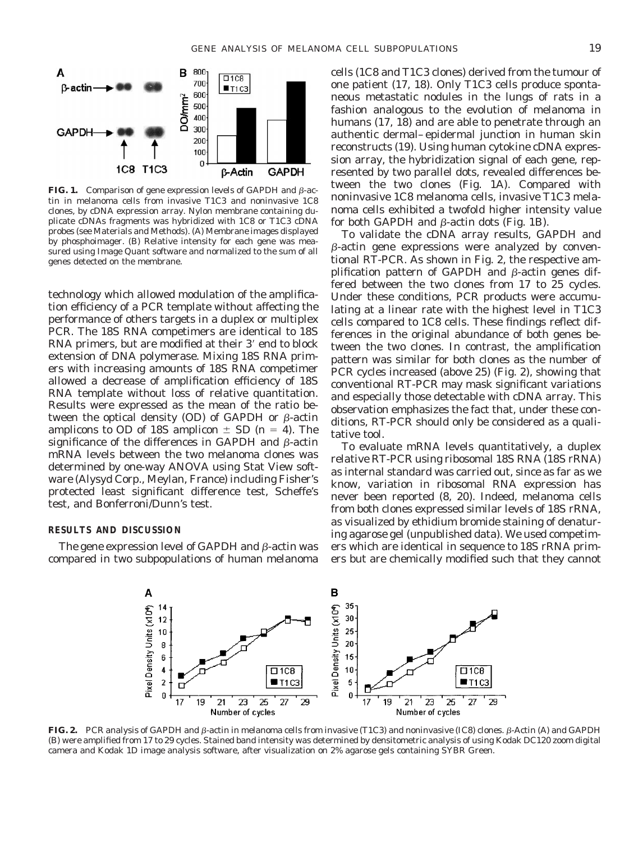

**FIG. 1.** Comparison of gene expression levels of GAPDH and B-actin in melanoma cells from invasive T1C3 and noninvasive 1C8 clones, by cDNA expression array. Nylon membrane containing duplicate cDNAs fragments was hybridized with 1C8 or T1C3 cDNA probes (see Materials and Methods). (A) Membrane images displayed by phosphoimager. (B) Relative intensity for each gene was measured using Image Quant software and normalized to the sum of all genes detected on the membrane.

technology which allowed modulation of the amplification efficiency of a PCR template without affecting the performance of others targets in a duplex or multiplex PCR. The 18S RNA competimers are identical to 18S RNA primers, but are modified at their 3' end to block extension of DNA polymerase. Mixing 18S RNA primers with increasing amounts of 18S RNA competimer allowed a decrease of amplification efficiency of 18S RNA template without loss of relative quantitation. Results were expressed as the mean of the ratio between the optical density (OD) of GAPDH or  $\beta$ -actin amplicons to OD of 18S amplicon  $\pm$  SD ( $n = 4$ ). The significance of the differences in GAPDH and  $\beta$ -actin mRNA levels between the two melanoma clones was determined by one-way ANOVA using Stat View software (Alysyd Corp., Meylan, France) including Fisher's protected least significant difference test, Scheffe's test, and Bonferroni/Dunn's test.

# **RESULTS AND DISCUSSION**

The gene expression level of GAPDH and  $\beta$ -actin was compared in two subpopulations of human melanoma cells (1C8 and T1C3 clones) derived from the tumour of one patient (17, 18). Only T1C3 cells produce spontaneous metastatic nodules in the lungs of rats in a fashion analogous to the evolution of melanoma in humans (17, 18) and are able to penetrate through an authentic dermal–epidermal junction in human skin reconstructs (19). Using human cytokine cDNA expression array, the hybridization signal of each gene, represented by two parallel dots, revealed differences between the two clones (Fig. 1A). Compared with noninvasive 1C8 melanoma cells, invasive T1C3 melanoma cells exhibited a twofold higher intensity value for both GAPDH and  $\beta$ -actin dots (Fig. 1B).

To validate the cDNA array results, GAPDH and  $\beta$ -actin gene expressions were analyzed by conventional RT-PCR. As shown in Fig. 2, the respective amplification pattern of GAPDH and  $\beta$ -actin genes differed between the two clones from 17 to 25 cycles. Under these conditions, PCR products were accumulating at a linear rate with the highest level in T1C3 cells compared to 1C8 cells. These findings reflect differences in the original abundance of both genes between the two clones. In contrast, the amplification pattern was similar for both clones as the number of PCR cycles increased (above 25) (Fig. 2), showing that conventional RT-PCR may mask significant variations and especially those detectable with cDNA array. This observation emphasizes the fact that, under these conditions, RT-PCR should only be considered as a qualitative tool.

To evaluate mRNA levels quantitatively, a duplex relative RT-PCR using ribosomal 18S RNA (18S rRNA) as internal standard was carried out, since as far as we know, variation in ribosomal RNA expression has never been reported (8, 20). Indeed, melanoma cells from both clones expressed similar levels of 18S rRNA, as visualized by ethidium bromide staining of denaturing agarose gel (unpublished data). We used competimers which are identical in sequence to 18S rRNA primers but are chemically modified such that they cannot



**FIG. 2.** PCR analysis of GAPDH and β-actin in melanoma cells from invasive (T1C3) and noninvasive (IC8) clones. β-Actin (A) and GAPDH (B) were amplified from 17 to 29 cycles. Stained band intensity was determined by densitometric analysis of using Kodak DC120 zoom digital camera and Kodak 1D image analysis software, after visualization on 2% agarose gels containing SYBR Green.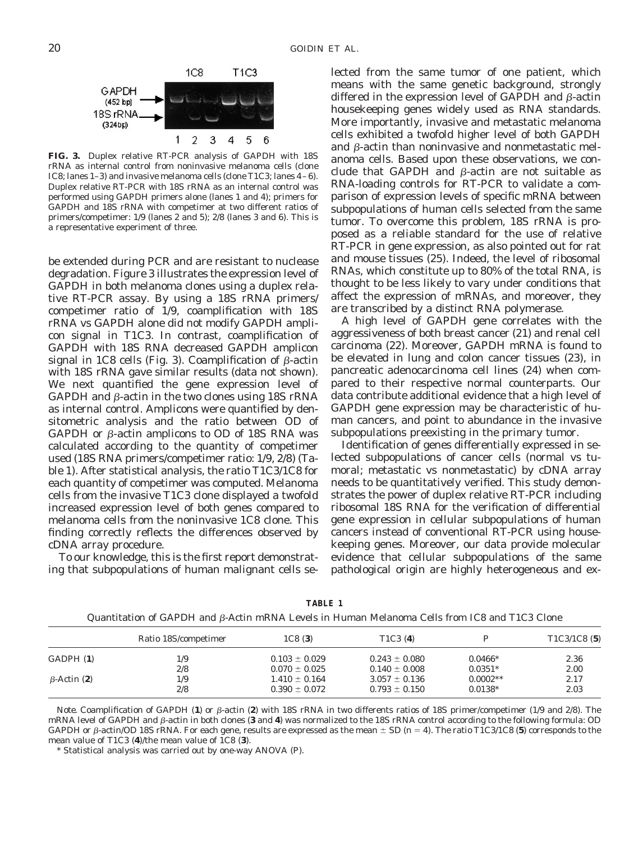

**FIG. 3.** Duplex relative RT-PCR analysis of GAPDH with 18S rRNA as internal control from noninvasive melanoma cells (clone IC8; lanes 1–3) and invasive melanoma cells (clone T1C3; lanes 4–6). Duplex relative RT-PCR with 18S rRNA as an internal control was performed using GAPDH primers alone (lanes 1 and 4); primers for GAPDH and 18S rRNA with competimer at two different ratios of primers/competimer: 1/9 (lanes 2 and 5); 2/8 (lanes 3 and 6). This is a representative experiment of three.

be extended during PCR and are resistant to nuclease degradation. Figure 3 illustrates the expression level of GAPDH in both melanoma clones using a duplex relative RT-PCR assay. By using a 18S rRNA primers/ competimer ratio of 1/9, coamplification with 18S rRNA vs GAPDH alone did not modify GAPDH amplicon signal in T1C3. In contrast, coamplification of GAPDH with 18S RNA decreased GAPDH amplicon signal in 1C8 cells (Fig. 3). Coamplification of  $\beta$ -actin with 18S rRNA gave similar results (data not shown). We next quantified the gene expression level of GAPDH and  $\beta$ -actin in the two clones using 18S rRNA as internal control. Amplicons were quantified by densitometric analysis and the ratio between OD of GAPDH or  $\beta$ -actin amplicons to OD of 18S RNA was calculated according to the quantity of competimer used (18S RNA primers/competimer ratio: 1/9, 2/8) (Table 1). After statistical analysis, the ratio T1C3/1C8 for each quantity of competimer was computed. Melanoma cells from the invasive T1C3 clone displayed a twofold increased expression level of both genes compared to melanoma cells from the noninvasive 1C8 clone. This finding correctly reflects the differences observed by cDNA array procedure.

To our knowledge, this is the first report demonstrating that subpopulations of human malignant cells selected from the same tumor of one patient, which means with the same genetic background, strongly differed in the expression level of GAPDH and  $\beta$ -actin housekeeping genes widely used as RNA standards. More importantly, invasive and metastatic melanoma cells exhibited a twofold higher level of both GAPDH and  $\beta$ -actin than noninvasive and nonmetastatic melanoma cells. Based upon these observations, we conclude that GAPDH and  $\beta$ -actin are not suitable as RNA-loading controls for RT-PCR to validate a comparison of expression levels of specific mRNA between subpopulations of human cells selected from the same tumor. To overcome this problem, 18S rRNA is proposed as a reliable standard for the use of relative RT-PCR in gene expression, as also pointed out for rat and mouse tissues (25). Indeed, the level of ribosomal RNAs, which constitute up to 80% of the total RNA, is thought to be less likely to vary under conditions that affect the expression of mRNAs, and moreover, they are transcribed by a distinct RNA polymerase.

A high level of GAPDH gene correlates with the aggressiveness of both breast cancer (21) and renal cell carcinoma (22). Moreover, GAPDH mRNA is found to be elevated in lung and colon cancer tissues (23), in pancreatic adenocarcinoma cell lines (24) when compared to their respective normal counterparts. Our data contribute additional evidence that a high level of GAPDH gene expression may be characteristic of human cancers, and point to abundance in the invasive subpopulations preexisting in the primary tumor.

Identification of genes differentially expressed in selected subpopulations of cancer cells (normal vs tumoral; metastatic vs nonmetastatic) by cDNA array needs to be quantitatively verified. This study demonstrates the power of duplex relative RT-PCR including ribosomal 18S RNA for the verification of differential gene expression in cellular subpopulations of human cancers instead of conventional RT-PCR using housekeeping genes. Moreover, our data provide molecular evidence that cellular subpopulations of the same pathological origin are highly heterogeneous and ex-

|                    | Ratio 18S/competimer | 1C8(3)            | T <sub>1</sub> C <sub>3</sub> (4) |            | T <sub>1</sub> C <sub>3</sub> / <sub>1</sub> C <sub>8</sub> (5) |
|--------------------|----------------------|-------------------|-----------------------------------|------------|-----------------------------------------------------------------|
| GADPH (1)          | 1/9                  | $0.103 \pm 0.029$ | $0.243 \pm 0.080$                 | $0.0466*$  | 2.36                                                            |
|                    | 2/8                  | $0.070 \pm 0.025$ | $0.140 \pm 0.008$                 | $0.0351*$  | 2.00                                                            |
| $\beta$ -Actin (2) | 1/9                  | $1.410 \pm 0.164$ | $3.057 \pm 0.136$                 | $0.0002**$ | 2.17                                                            |
|                    | 2/8                  | $0.390 \pm 0.072$ | $0.793 \pm 0.150$                 | $0.0138*$  | 2.03                                                            |

**TABLE 1** Quantitation of GAPDH and b-Actin mRNA Levels in Human Melanoma Cells from IC8 and T1C3 Clone

*Note.* Coamplification of GAPDH (1) or  $\beta$ -actin (2) with 18S rRNA in two differents ratios of 18S primer/competimer (1/9 and 2/8). The mRNA level of GAPDH and  $\beta$ -actin in both clones (3 and 4) was normalized to the 18S rRNA control according to the following formula: OD GAPDH or  $\beta$ -actin/OD 18S rRNA. For each gene, results are expressed as the mean  $\pm$  SD ( $n = 4$ ). The ratio T1C3/1C8 (5) corresponds to the mean value of T1C3 (**4**)/the mean value of 1C8 (**3**).

\* Statistical analysis was carried out by one-way ANOVA (*P*).